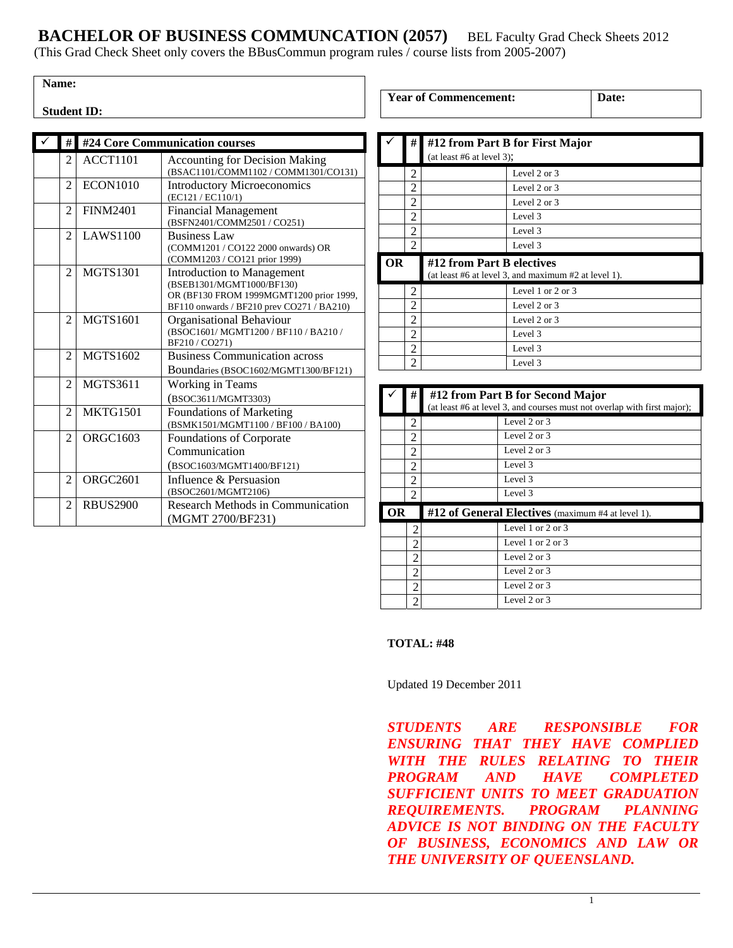**BACHELOR OF BUSINESS COMMUNCATION (2057)** BEL Faculty Grad Check Sheets 2012 (This Grad Check Sheet only covers the BBusCommun program rules / course lists from 2005-2007)

**Student ID:** 

| #                        | #24 Core Communication courses |                                                                                                                                                        |
|--------------------------|--------------------------------|--------------------------------------------------------------------------------------------------------------------------------------------------------|
| 2                        | ACCT1101                       | <b>Accounting for Decision Making</b><br>(BSAC1101/COMM1102 / COMM1301/CO131)                                                                          |
| $\overline{\mathcal{L}}$ | <b>ECON1010</b>                | <b>Introductory Microeconomics</b><br>(EC121 / EC110/1)                                                                                                |
| $\mathfrak{D}$           | <b>FINM2401</b>                | <b>Financial Management</b><br>(BSFN2401/COMM2501 / CO251)                                                                                             |
| 2                        | <b>LAWS1100</b>                | <b>Business Law</b><br>(COMM1201 / CO122 2000 onwards) OR<br>(COMM1203 / CO121 prior 1999)                                                             |
| 2                        | <b>MGTS1301</b>                | <b>Introduction to Management</b><br>(BSEB1301/MGMT1000/BF130)<br>OR (BF130 FROM 1999MGMT1200 prior 1999,<br>BF110 onwards / BF210 prev CO271 / BA210) |
| 2                        | <b>MGTS1601</b>                | Organisational Behaviour<br>(BSOC1601/MGMT1200/BF110/BA210/<br>BF210/CO271)                                                                            |
| 2                        | <b>MGTS1602</b>                | <b>Business Communication across</b><br>Boundaries (BSOC1602/MGMT1300/BF121)                                                                           |
| $\mathfrak{D}$           | <b>MGTS3611</b>                | <b>Working in Teams</b><br>(BSOC3611/MGMT3303)                                                                                                         |
| $\overline{c}$           | <b>MKTG1501</b>                | <b>Foundations of Marketing</b><br>(BSMK1501/MGMT1100 / BF100 / BA100)                                                                                 |
| 2                        | ORGC1603                       | <b>Foundations of Corporate</b><br>Communication<br>(BSOC1603/MGMT1400/BF121)                                                                          |
| $\overline{c}$           | ORGC2601                       | Influence & Persuasion<br>(BSOC2601/MGMT2106)                                                                                                          |
| $\overline{c}$           | <b>RBUS2900</b>                | Research Methods in Communication<br>(MGMT 2700/BF231)                                                                                                 |

|           | #              | #12 from Part B for First Major                                                   |  |
|-----------|----------------|-----------------------------------------------------------------------------------|--|
|           |                | (at least #6 at level 3);                                                         |  |
|           | 2              | Level 2 or 3                                                                      |  |
|           | $\overline{2}$ | Level 2 or 3                                                                      |  |
|           | 2              | Level 2 or 3                                                                      |  |
|           | 2              | Level 3                                                                           |  |
|           | 2              | Level 3                                                                           |  |
|           |                |                                                                                   |  |
|           | 2              | Level 3                                                                           |  |
| <b>OR</b> |                | #12 from Part B electives<br>(at least #6 at level 3, and maximum #2 at level 1). |  |
|           | 2              | Level 1 or 2 or 3                                                                 |  |
|           | 2              | Level 2 or 3                                                                      |  |
|           | 2              | Level 2 or 3                                                                      |  |
|           | 2              | Level 3                                                                           |  |
|           | $\overline{2}$ | Level 3                                                                           |  |

|                                                         | #              | #12 from Part B for Second Major<br>(at least #6 at level 3, and courses must not overlap with first major); |                         |
|---------------------------------------------------------|----------------|--------------------------------------------------------------------------------------------------------------|-------------------------|
|                                                         | $\mathfrak{D}$ |                                                                                                              | Level 2 or 3            |
|                                                         | 2              |                                                                                                              | Level $2$ or $3$        |
|                                                         | 2              |                                                                                                              | Level $2$ or $3$        |
|                                                         | 2              |                                                                                                              | Level 3                 |
|                                                         | 2              |                                                                                                              | Level 3                 |
|                                                         | 2              |                                                                                                              | Level 3                 |
| #12 of General Electives (maximum #4 at level 1).<br>OR |                |                                                                                                              |                         |
|                                                         | 2              |                                                                                                              | Level 1 or 2 or 3       |
|                                                         | $\overline{c}$ |                                                                                                              | Level 1 or 2 or 3       |
|                                                         | $\overline{c}$ |                                                                                                              | Level $2$ or $3$        |
|                                                         | 2              |                                                                                                              | Level $2 \text{ or } 3$ |
|                                                         | 2              |                                                                                                              | Level 2 or 3            |
|                                                         | 2              |                                                                                                              | Level $2$ or $3$        |

## **TOTAL: #48**

Updated 19 December 2011

*STUDENTS ARE RESPONSIBLE FOR ENSURING THAT THEY HAVE COMPLIED WITH THE RULES RELATING TO THEIR PROGRAM AND HAVE COMPLETED SUFFICIENT UNITS TO MEET GRADUATION REQUIREMENTS. PROGRAM PLANNING ADVICE IS NOT BINDING ON THE FACULTY OF BUSINESS, ECONOMICS AND LAW OR THE UNIVERSITY OF QUEENSLAND.* 

**Year of Commencement: Date:**